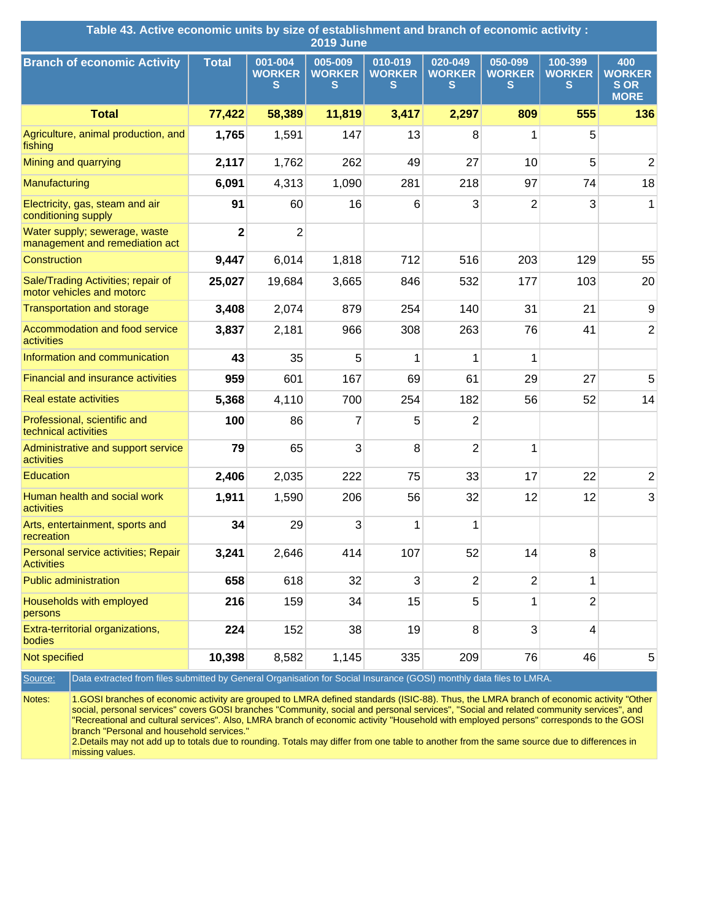| Table 43. Active economic units by size of establishment and branch of economic activity :<br><b>2019 June</b>                                    |                |                               |                               |                               |                               |                               |                               |                                                   |
|---------------------------------------------------------------------------------------------------------------------------------------------------|----------------|-------------------------------|-------------------------------|-------------------------------|-------------------------------|-------------------------------|-------------------------------|---------------------------------------------------|
| <b>Branch of economic Activity</b>                                                                                                                | <b>Total</b>   | 001-004<br><b>WORKER</b><br>s | 005-009<br><b>WORKER</b><br>S | 010-019<br><b>WORKER</b><br>s | 020-049<br><b>WORKER</b><br>S | 050-099<br><b>WORKER</b><br>s | 100-399<br><b>WORKER</b><br>S | 400<br><b>WORKER</b><br><b>SOR</b><br><b>MORE</b> |
| <b>Total</b>                                                                                                                                      | 77,422         | 58,389                        | 11,819                        | 3,417                         | 2,297                         | 809                           | 555                           | 136                                               |
| Agriculture, animal production, and<br>fishing                                                                                                    | 1,765          | 1,591                         | 147                           | 13                            | 8                             | 1                             | 5                             |                                                   |
| Mining and quarrying                                                                                                                              | 2,117          | 1,762                         | 262                           | 49                            | 27                            | 10                            | 5                             | $\overline{2}$                                    |
| Manufacturing                                                                                                                                     | 6,091          | 4,313                         | 1,090                         | 281                           | 218                           | 97                            | 74                            | 18                                                |
| Electricity, gas, steam and air<br>conditioning supply                                                                                            | 91             | 60                            | 16                            | 6                             | 3                             | $\overline{2}$                | 3                             | 1                                                 |
| Water supply; sewerage, waste<br>management and remediation act                                                                                   | $\overline{2}$ | $\overline{2}$                |                               |                               |                               |                               |                               |                                                   |
| Construction                                                                                                                                      | 9,447          | 6,014                         | 1,818                         | 712                           | 516                           | 203                           | 129                           | 55                                                |
| Sale/Trading Activities; repair of<br>motor vehicles and motorc                                                                                   | 25,027         | 19,684                        | 3,665                         | 846                           | 532                           | 177                           | 103                           | 20                                                |
| <b>Transportation and storage</b>                                                                                                                 | 3,408          | 2,074                         | 879                           | 254                           | 140                           | 31                            | 21                            | 9                                                 |
| Accommodation and food service<br>activities                                                                                                      | 3,837          | 2,181                         | 966                           | 308                           | 263                           | 76                            | 41                            | $\overline{2}$                                    |
| Information and communication                                                                                                                     | 43             | 35                            | 5                             | 1                             | 1                             | 1                             |                               |                                                   |
| <b>Financial and insurance activities</b>                                                                                                         | 959            | 601                           | 167                           | 69                            | 61                            | 29                            | 27                            | 5                                                 |
| <b>Real estate activities</b>                                                                                                                     | 5,368          | 4,110                         | 700                           | 254                           | 182                           | 56                            | 52                            | 14                                                |
| Professional, scientific and<br>technical activities                                                                                              | 100            | 86                            | 7                             | 5                             | $\overline{2}$                |                               |                               |                                                   |
| Administrative and support service<br>activities                                                                                                  | 79             | 65                            | 3                             | 8                             | $\overline{2}$                | 1                             |                               |                                                   |
| Education                                                                                                                                         | 2,406          | 2,035                         | 222                           | 75                            | 33                            | 17                            | 22                            | $\overline{2}$                                    |
| Human health and social work<br>activities                                                                                                        | 1,911          | 1,590                         | 206                           | 56                            | 32                            | 12                            | 12                            | 3                                                 |
| Arts, entertainment, sports and<br>recreation                                                                                                     | 34             | 29                            | 3                             | 1                             | 1                             |                               |                               |                                                   |
| Personal service activities; Repair<br><b>Activities</b>                                                                                          | 3,241          | 2,646                         | 414                           | 107                           | 52                            | 14                            | 8                             |                                                   |
| <b>Public administration</b>                                                                                                                      | 658            | 618                           | 32                            | 3                             | $\overline{2}$                | $\overline{2}$                | 1                             |                                                   |
| Households with employed<br>persons                                                                                                               | 216            | 159                           | 34                            | 15                            | 5                             | 1                             | $\overline{2}$                |                                                   |
| Extra-territorial organizations,<br>bodies                                                                                                        | 224            | 152                           | 38                            | 19                            | 8                             | 3                             | $\overline{\mathbf{4}}$       |                                                   |
| Not specified                                                                                                                                     | 10,398         | 8,582                         | 1,145                         | 335                           | 209                           | 76                            | 46                            | 5                                                 |
| Data extracted from files submitted by General Organisation for Social Insurance (GOSI) monthly data files to LMRA.<br>Source:                    |                |                               |                               |                               |                               |                               |                               |                                                   |
| Notes:<br>1.GOSI branches of economic activity are grouped to LMRA defined standards (ISIC-88). Thus, the LMRA branch of economic activity "Other |                |                               |                               |                               |                               |                               |                               |                                                   |

social, personal services" covers GOSI branches "Community, social and personal services", "Social and related community services", and "Recreational and cultural services". Also, LMRA branch of economic activity "Household with employed persons" corresponds to the GOSI branch "Personal and household services."

2.Details may not add up to totals due to rounding. Totals may differ from one table to another from the same source due to differences in missing values.